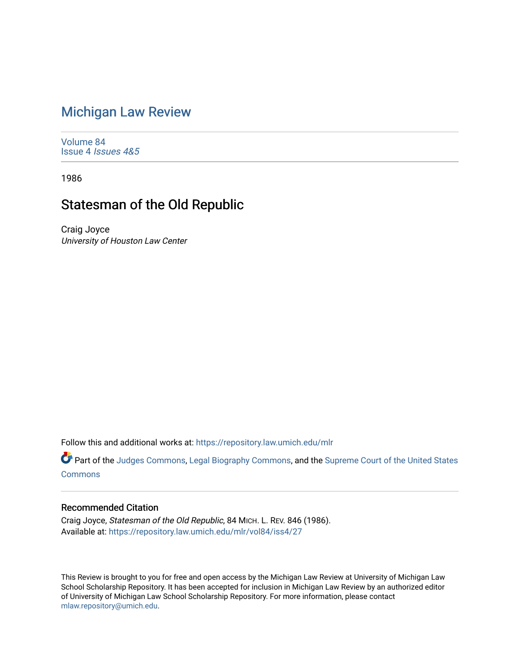## [Michigan Law Review](https://repository.law.umich.edu/mlr)

[Volume 84](https://repository.law.umich.edu/mlr/vol84) Issue 4 [Issues 4&5](https://repository.law.umich.edu/mlr/vol84/iss4) 

1986

# Statesman of the Old Republic

Craig Joyce University of Houston Law Center

Follow this and additional works at: [https://repository.law.umich.edu/mlr](https://repository.law.umich.edu/mlr?utm_source=repository.law.umich.edu%2Fmlr%2Fvol84%2Fiss4%2F27&utm_medium=PDF&utm_campaign=PDFCoverPages) 

Part of the [Judges Commons,](http://network.bepress.com/hgg/discipline/849?utm_source=repository.law.umich.edu%2Fmlr%2Fvol84%2Fiss4%2F27&utm_medium=PDF&utm_campaign=PDFCoverPages) [Legal Biography Commons,](http://network.bepress.com/hgg/discipline/834?utm_source=repository.law.umich.edu%2Fmlr%2Fvol84%2Fiss4%2F27&utm_medium=PDF&utm_campaign=PDFCoverPages) and the Supreme Court of the United States **[Commons](http://network.bepress.com/hgg/discipline/1350?utm_source=repository.law.umich.edu%2Fmlr%2Fvol84%2Fiss4%2F27&utm_medium=PDF&utm_campaign=PDFCoverPages)** 

#### Recommended Citation

Craig Joyce, Statesman of the Old Republic, 84 MICH. L. REV. 846 (1986). Available at: [https://repository.law.umich.edu/mlr/vol84/iss4/27](https://repository.law.umich.edu/mlr/vol84/iss4/27?utm_source=repository.law.umich.edu%2Fmlr%2Fvol84%2Fiss4%2F27&utm_medium=PDF&utm_campaign=PDFCoverPages) 

This Review is brought to you for free and open access by the Michigan Law Review at University of Michigan Law School Scholarship Repository. It has been accepted for inclusion in Michigan Law Review by an authorized editor of University of Michigan Law School Scholarship Repository. For more information, please contact [mlaw.repository@umich.edu.](mailto:mlaw.repository@umich.edu)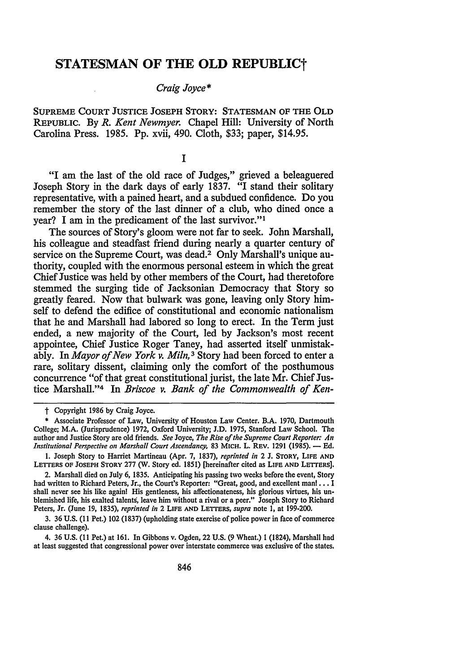### **STATESMAN OF THE OLD REPUBLIC†**

#### *Craig Joyce\**

SUPREME COURT JUSTICE JOSEPH STORY: STATESMAN OF THE OLD REPUBLIC. By *R. Kent Newmyer.* Chapel Hill: University of North Carolina Press. 1985. Pp. xvii, 490. Cloth, \$33; paper, \$14.95.

I

"I am the last of the old race of Judges," grieved a beleaguered Joseph Story in the dark days of early 1837. "I stand their solitary representative, with a pained heart, and a subdued confidence. Do you remember the story of the last dinner of a club, who dined once a year? I am in the predicament of the last survivor."<sup>1</sup>

The sources of Story's gloom were not far to seek. John Marshall, his colleague and steadfast friend during nearly a quarter century of service on the Supreme Court, was dead.<sup>2</sup> Only Marshall's unique authority, coupled with the enormous personal esteem in which the great Chief Justice was held by other members of the Court, had theretofore stemmed the surging tide of Jacksonian Democracy that Story so greatly feared. Now that bulwark was gone, leaving only Story himself to defend the edifice of constitutional and economic nationalism that he and Marshall had labored so long to erect. In the Term just ended, a new majority of the Court, led by Jackson's most recent appointee, Chief Justice Roger Taney, had asserted itself unmistakably. In *Mayor of New York v. Miln,* 3 Story had been forced to enter a rare, solitary dissent, claiming only the comfort of the posthumous concurrence "of that great constitutional jurist, the late Mr. Chief Justice Marshall."4 In *Briscoe v. Bank of the Commonwealth of Ken-*

t Copyright 1986 by Craig Joyce.

<sup>\*</sup> Associate Professor of Law, University of Houston Law Center. B.A. 1970, Dartmouth College; M.A. (Jurisprudence) 1972, Oxford University; J.D. 1975, Stanford Law School. The author and Justice Story are old friends. *See* Joyce, *The Rise of the Supreme Court Reporter: A11 Institutional Perspective on Marshall Court Ascendancy, 83 MICH. L. REV. 1291 (1985).* - Ed.

<sup>1.</sup> Joseph Story to Harriet Martineau (Apr. 7, 1837), *reprinted in* 2 J. STORY, LIFE AND LETTERS OF JOSEPH STORY 277 (W. Story ed. 1851) [hereinafter cited as LIFE AND LETTERS].

<sup>2.</sup> Marshall died on July 6, 1835. Anticipating his passing two weeks before the event, Story had written to Richard Peters, Jr., the Court's Reporter: "Great, good, and excellent manl . . . I shall never see his like again! His gentleness, his alfectionateness, his glorious virtues, his un· blemished life, his exalted talents, leave him without a rival or a peer." Joseph Story to Richard Peters, Jr. (June 19, 1835), *reprinted in* 2 LIFE AND LETTERS, *supra* note 1, at 199-200.

<sup>3. 36</sup> U.S. (11Pet.)102 (1837) (upholding state exercise of police power in face of commerce clause challenge).

<sup>4. 36</sup> U.S. (11 Pet.) at 161. In Gibbons v. Ogden, 22 U.S. (9 Wheat.) 1 (1824), Marshall hnd at least suggested that congressional power over interstate commerce was exclusive of the states.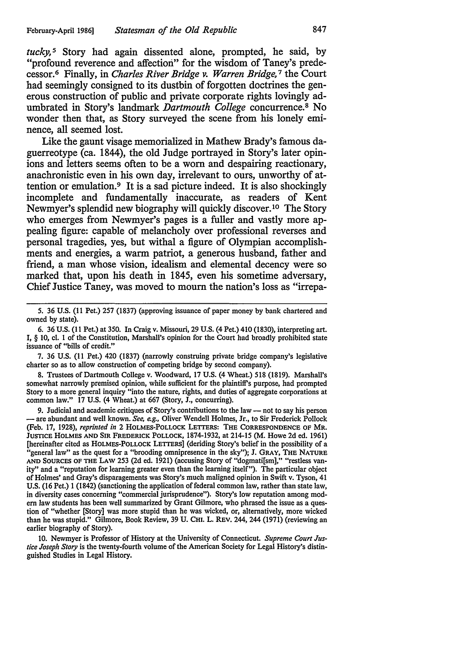*tucky, 5* Story had again dissented alone, prompted, he said, by "profound reverence and affection" for the wisdom of Taney's predecessor. 6 Finally, in *Charles River Bridge v. Warren Bridge,* 7 the Court had seemingly consigned to its dustbin of forgotten doctrines the generous construction of public and private corporate rights lovingly adumbrated in Story's landmark *Dartmouth College* concurrence.8 No wonder then that, as Story surveyed the scene from his lonely eminence, all seemed lost.

Like the gaunt visage memorialized in Mathew Brady's famous daguerreotype (ca. 1844), the old Judge portrayed in Story's later opinions and letters seems often to be a worn and despairing reactionary, anachronistic even in his own day, irrelevant to ours, unworthy of attention or emulation.9 It is a sad picture indeed. It is also shockingly incomplete and fundamentally inaccurate, as readers of Kent Newmyer's splendid new biography will quickly discover.<sup>10</sup> The Story who emerges from Newmyer's pages is a fuller and vastly more appealing figure: capable of melancholy over professional reverses and personal tragedies, yes, but withal a figure of Olympian accomplishments and energies, a warm patriot, a generous husband, father and friend, a man whose vision, idealism and elemental decency were so marked that, upon his death in 1845, even his sometime adversary, Chief Justice Taney, was moved to mourn the nation's loss as "irrepa-

8. Trustees of Dartmouth College v. Woodward, 17 U.S. (4 Wheat.) 518 (1819). Marshall's somewhat narrowly premised opinion, while sufficient for the plaintifrs purpose, had prompted Story to a more general inquiry "into the nature, rights, and duties of aggregate corporations at common law." 17 U.S. (4 Wheat.) at 667 (Story, J., concurring).

9. Judicial and academic critiques of Story's contributions to the law  $-$  not to say his person - are abundant and well known. *See, e.g.,* Oliver Wendell Holmes, Jr., to Sir Frederick Pollock (Feb. 17, 1928), *reprinted in* 2 HOLMES-POLLOCK LETIERS: THE CORRESPONDENCE OF MR. JUSTICE HOLMES AND SIR FREDERICK POLLOCK, 1874-1932, at 214-15 (M. Howe 2d ed. 1961) [hereinafter cited as HOLMES-POLLOCK LETTERS] (deriding Story's belief in the possibility of a "general law" as the quest for a "brooding omnipresence in the sky"); J. GRAY, THE NATURE AND SOURCES OF THE LAW 253 (2d ed. 1921) (accusing Story of "dogmati[sm]," "restless vanity" and a "reputation for learning greater even than the learning itself"). The particular object of Holmes' and Gray's disparagements was Story's much maligned opinion in Swift v. Tyson, 41 U.S. (16 Pet.) 1 (1842) (sanctioning the application of federal common law, rather than state law, in diversity cases concerning "commercial jurisprudence"). Story's low reputation among modern law students has been well summarized by Grant Gilmore, who phrased the issue as a question of "whether [Story] was more stupid than he was wicked, or, alternatively, more wicked than he was stupid." Gilmore, Book Review, 39 U. CHI. L. REV. 244, 244 (1971) (reviewing an earlier biography of Story).

*<sup>5.</sup>* 36 U.S. (11 Pet.) 257 (1837) (approving issuance of paper money by bank chartered and owned by state).

<sup>6. 36</sup> U.S. (11 Pet.) at 350. In Craig v. Missouri, 29 U.S. (4 Pet.) 410 (1830), interpreting art. I, § 10, cl. 1 of the Constitution, Marshall's opinion for the Court had broadly prohibited state issuance of "bills of credit."

<sup>7. 36</sup> U.S. (11 Pet.) 420 (1837) (narrowly construing private bridge company's legislative charter so as to allow construction of competing bridge by second company).

<sup>10.</sup> Newmyer is Professor of History at the University of Connecticut. *Supreme Court Justice Joseph Story* is the twenty-fourth volume of the American Society for Legal History's distinguished Studies in Legal History.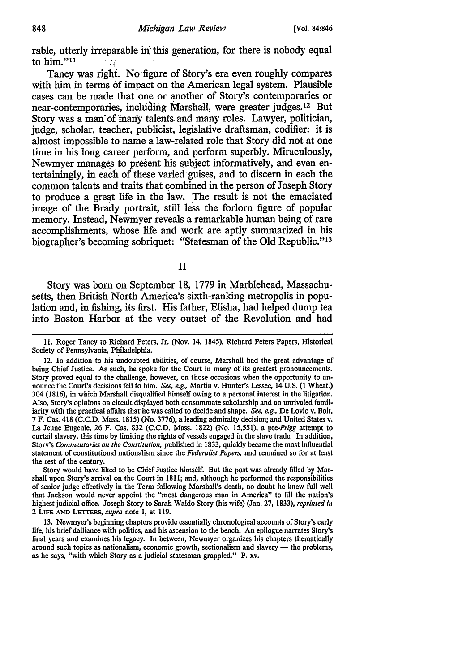rable, utterly irreparable in this generation, for there is nobody equal to  $him. "11$ .

Taney was right. No figure of Story's era even roughly compares with him in terms of impact on the American legal system. Plausible cases can be made that one or another of Story's contemporaries or near-contemporaries, including Marshall, were greater judges.<sup>12</sup> But Story was a man of many talents and many roles. Lawyer, politician, judge, scholar, teacher, publicist, legislative draftsman, codifier: it is almost impossible to name a law-related role that Story did not at one time in his long career perform, and perform superbly. Miraculously, Newmyer manages to present his subject informatively, and even entertainingly, in each of these varied guises, and to discern in each the common talents and traits that combined in the person of Joseph Story to produce a great life in the law. The result is not the emaciated image of the Brady portrait, still less the forlorn figure of popular memory. Instead, Newmyer reveals a remarkable human being of rare accomplishments, whose life and work are aptly summarized in his biographer's becoming sobriquet: "Statesman of the Old Republic."<sup>13</sup>

II

Story was born on September 18, 1779 in Marblehead, Massachusetts, then British North America's sixth-ranking metropolis in population and, in fishing, its first. His father, Elisha, had helped dump tea into Boston Harbor at the very outset of the Revolution and had

Story would have liked to be Chief Justice himself. But the post was already filled by Marshall upon Story's arrival on the Court in 1811; and, although he performed the responsibilities of senior judge effectively in the Term following Marshall's death, no doubt he knew full well that Jackson would never appoint the "most dangerous man in America" to fill the nation's highest judicial office. Joseph Story to Sarah Waldo Story (his wife) (Jan. 27, 1833), *reprinted in*  2 LIFE AND LETTERS, *supra* note 1, at 119.

13. Newmyer's beginning chapters provide essentially chronological accounts of Story's early life, his brief dalliance with politics, and his ascension to the bench. An epilogue narrates Story's final years and examines his legacy. In between, Newmyer organizes his chapters thematically around such topics as nationalism, economic growth, sectionalism and slavery  $-$  the problems, as he says, "with which Story as a judicial statesman grappled." P. xv.

<sup>11.</sup> Roger Taney to Richard Peters, Jr. (Nov. 14, 1845), Richard Peters Papers, Historical Society of Pennsylvania, Philadelphia.

<sup>12.</sup> In addition to his undoubted abilities, of course, Marshall had the great advantage of being Chief Justice. As such, he spoke for the Court in many of its greatest pronouncements. Story proved equal to the challenge, however, on those occasions when the opportunity to announce the Court's decisions fell to him. *See, e.g.,* Martin v. Hunter's Lessee, 14 U.S. (1 Wheat.) 304 (1816), in which Marshall disqualified himself owing to a personal interest in the litigation. Also, Story's opinions on circuit displayed both consummate scholarship and an unrivaled familiarity with the practical affairs that he was called to decide and shape. *See, e.g.,* De Lovio v. Boit, 7 F. Cas. 418 (C.C.D. Mass. 1815) (No. 3776), a leading admiralty decision; and United States v. La Jeune Eugenie, 26 F. Cas. 832 (C.C.D. Mass. 1822) (No. 15,551), a *pre-Prigg* attempt to curtail slavery, this time by limiting the rights of vessels engaged in the slave trade. In addition, Story's *Commentaries on the Constitution,* published in 1833, quickly became the most influential statement of constitutional nationalism since the *Federalist Papers,* and remained so for at least the rest of the century.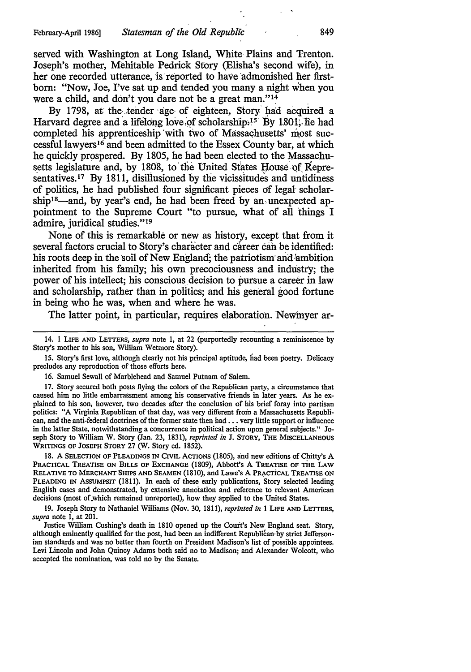served with Washington at Long Island, White Plains and Trenton. Joseph's mother, Mehitable Pedrick Story (Elisha's second wife), in her one recorded utterance, is reported to have admonished her firstborn: "Now, Joe, I've sat up and tended you many a night when you were a child, and don't you dare not be a great man." $14$ 

By 1798, at the tender age of eighteen, Story had acquired a Harvard degree and a lifelong love of scholarship.<sup>15</sup> By 1801, lie had completed his apprenticeship with two of Massachusetts' most successful lawyers16 and been admitted to the Essex County bar, at which he quickly prospered. By 1805, he had been elected to the Massachusetts legislature and, by 1808, to the United States House of Representatives.<sup>17</sup> By 1811, disillusioned by the vicissitudes and untidiness of politics, he had published four significant pieces of legal scholarship<sup>18</sup>—and, by year's end, he had been freed by an unexpected appointment to the Supreme Court "to pursue, what of all things I admire, juridical studies."19

None of this is remarkable or new as history, except that from it several factors crucial to Story's character and career can be identified: his roots deep in the soil of New England; the patriotism and ambition inherited from his family; his own precociousness and industry; the power of his intellect; his conscious decision to pursue a career in law and scholarship, rather than in politics; and his general good fortune in being who he was, when and where he was.

The latter point, in particular, requires elaboration. 'Newmyer ar-

15. Story's first love, although clearly not his principal aptitude, had been poetry. Delicacy precludes any reproduction of those efforts here.

16. Samuel Sewall of Marblehead and Samuel Putnam of Salem.

17. Story secured both posts flying the colors of the Republican party, a circumstance that caused him no little embarrassment among his conservative friends in later years. As he explained to his son, however, two decades after the conclusion of his brief foray into partisan politics: "A Virginia Republican of that day, was very different from a Massachusetts Republican, and the anti-federal doctrines of the former state then had ... very little support or influence in the latter State, notwithstanding a concurrence in political action upon general subjects." Joseph Story to William w. Story (Jan. 23, 1831), *reprinted in* J. STORY, THE MISCELLANEOUS WRITINGS OF JOSEPH STORY 27 (W. Story ed. 1852).

18. A SELECTION OF PLEADINGS IN CIVIL ACTIONS (1805), and new editions of Chitty's A PRACTICAL TREATISE ON BILLS OF EXCHANGE (1809), Abbott's A TREATISE OF THE LAW RELATIVE TO MERCHANT SHIPS AND SEAMEN (1810), and Lawe's A PRACTICAL TREATISE ON PLEADING IN AssUMPSIT (1811). In each of these early publications, Story selected leading English cases and demonstrated, by extensive annotation and reference to relevant American decisions (most of which remained unreported), how they applied to the United States.

19. Joseph Story to Nathaniel Williams (Nov. 30, 1811), *reprinted in* 1 LIFE AND LEITERS, *supra* note 1, at 201.

Justice William Cushing's death in 1810 opened up the Court's New England seat. Story, although eminently qualified for the post, had been an indifferent Republican by strict Jeffersonian standards and was no better than fourth on President Madison's list of possible appointees. Levi Lincoln and John Quincy Adams both said no to Madison; and Alexander Wolcott, who accepted the nomination, was told no by the Senate.

<sup>14. 1</sup> LIFE AND LEITERS, *supra* note 1, at 22 (purportedly recounting a reminiscence by Story's mother to his son, William Wetmore Story).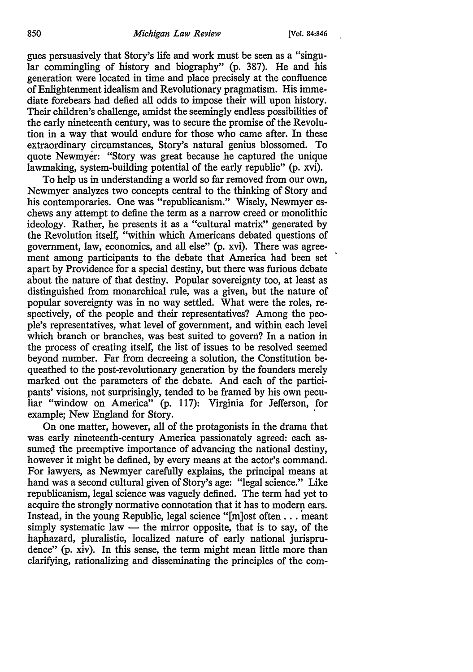gues persuasively that Story's life and work must be seen as a "singular commingling of history and biography" (p. 387). He and his generation were located in time and place precisely at the confluence of Enlightenment idealism and Revolutionary pragmatism. His immediate forebears had defied all odds to impose their will upon history. Their children's challenge, amidst the seemingly endless possibilities of the early nineteenth century, was to secure the promise of the Revolution in a way that would endure for those who came after. In these extraordinary circumstances, Story's natural genius blossomed. To quote Newmyer: "Story was great because he captured the unique lawmaking, system-building potential of the early republic" (p. xvi).

To help us in understanding a world so far removed from our own, Newmyer analyzes two concepts central to the thinking of Story and his contemporaries. One was "republicanism." Wisely, Newmyer eschews any attempt to define the term as a narrow creed or monolithic ideology. Rather, he presents it as a "cultural matrix" generated by the Revolution itself, "within which Americans debated questions of government, law, economics, and all else" (p. xvi). There was agreement among participants to the debate that America had been set apart by Providence for a special destiny, but there was furious debate about the nature of that destiny. Popular sovereignty too, at least as distinguished from monarchical rule, was a given, but the nature of popular sovereignty was in no way settled. What were the roles, respectively, of the people and their representatives? Among the people's representatives, what level of government, and within each level which branch or branches, was best suited to govern? In a nation in the process of creating itself, the list of issues to be resolved seemed beyond number. Far from decreeing a solution, the Constitution bequeathed to the post-revolutionary generation by the founders merely marked out the parameters of the debate. And each of the participants' visions, not surprisingly, tended to be framed by his own peculiar "window on America" (p. 117): Virginia for Jefferson, for example; New England for Story.

On one matter, however, all of the protagonists in the drama that was early nineteenth-century America passionately agreed: each assumed the preemptive importance of advancing the national destiny, however it might be defined, by every means at the actor's command. For lawyers, as Newmyer carefully explains, the principal means at hand was a second cultural given of Story's age: "legal science." Like republicanism, legal science was vaguely defined. The term had yet to acquire the strongly normative connotation that it has to modem ears. Instead, in the young Republic, legal science "[m]ost often ... meant simply systematic law  $-$  the mirror opposite, that is to say, of the haphazard, pluralistic, localized nature of early national jurisprudence" (p. xiv). In this sense, the term might mean little more than clarifying, rationalizing and disseminating the principles of the com-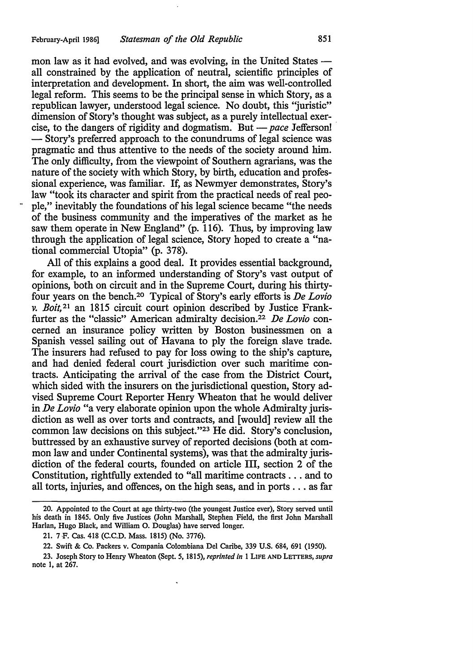mon law as it had evolved, and was evolving, in the United States  $$ all constrained by the application of neutral, scientific principles of interpretation and development. In short, the aim was well-controlled legal reform. This seems to be the principal sense in which Story, as a republican lawyer, understood legal science. No doubt, this "juristic" dimension of Story's thought was subject, as a purely intellectual exercise, to the dangers of rigidity and dogmatism. But  $\frac{1}{\sqrt{2}}$  Defferson! - Story's preferred approach to the conundrums of legal science was pragmatic and thus attentive to the needs of the society around him. The only difficulty, from the viewpoint of Southern agrarians, was the nature of the society with which Story, by birth, education and professional experience, was familiar. If, as Newmyer demonstrates, Story's law "took its character and spirit from the practical needs of real pea- .. ple," inevitably the foundations of his legal science became "the needs of the business community and the imperatives of the market as he saw them operate in New England" (p. 116). Thus, by improving law through the application of legal science, Story hoped to create a "national commercial Utopia" (p. 378).

All of this explains a good deal. It provides essential background, for example, to an informed understanding of Story's vast output of opinions, both on circuit and in the Supreme Court, during his thirtyfour years on the bench.20 Typical of Story's early efforts is *De Lovio v. Boit,* <sup>21</sup>an 1815 circuit court opinion described by Justice Frankfurter as the "classic" American admiralty decision.22 *De Lovio* concerned an insurance policy written by Boston businessmen on a Spanish vessel sailing out of Havana to ply the foreign slave trade. The insurers had refused to pay for loss owing to the ship's capture, and had denied federal court jurisdiction over such maritime contracts. Anticipating the arrival of the case from the District Court, which sided with the insurers on the jurisdictional question, Story advised Supreme Court Reporter Henry Wheaton that he would deliver in *De Lovio* "a very elaborate opinion upon the whole Admiralty jurisdiction as well as over torts and contracts, and [would] review all the common law decisions on this subject."23 He did. Story's conclusion, buttressed by an exhaustive survey of reported decisions (both at common law and under Continental systems), was that the admiralty jurisdiction of the federal courts, founded on article III, section 2 of the Constitution, rightfully extended to "all maritime contracts ... and to all torts, injuries, and offences, on the high seas, and in ports ... as far

<sup>20.</sup> Appointed to the Court at age thirty-two (the youngest Justice ever), Story served until his death in 1845. Only five Justices (John Marshall, Stephen Field, the first John Marshall Harlan, Hugo Black, and William 0. Douglas) have served longer.

<sup>21. 7</sup> F. Cas. 418 (C.C.D. Mass. 1815) (No. 3776).

<sup>22.</sup> Swift & Co. Packers v. Compania Colombiana Del Caribe, 339 U.S. 684, 691 (1950).

<sup>23.</sup> Joseph Story to Henry Wheaton (Sept. 5, 1815), *reprinted in* 1 LIFE AND LETTERS, *supra* note 1, at 267.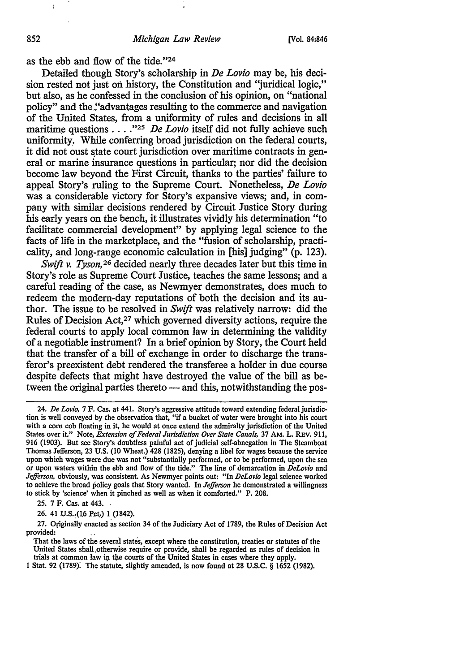as the ebb and flow of the tide."24

Detailed though Story's scholarship in *De Lovio* may be, his decision rested not just on history, the Constitution and "juridical logic," but also, as he confessed in the conclusion of his opinion, on "national policy" and the:'advantages resulting to the commerce and navigation of the United States, from a uniformity of rules and decisions in all maritime questions . . . . "<sup>25</sup> *De Lovio* itself did not fully achieve such uniformity. While conferring broad jurisdiction on the federal courts, it did not oust state court jurisdiction over maritime contracts in general or marine insurance questions in particular; nor did the decision become law beyond the First Circuit, thanks to the parties' failure to appeal Story's ruling to the Supreme Court. Nonetheless, *De Lovio*  was a considerable victory for Story's expansive views; and, in company with similar decisions rendered by Circuit Justice Story during his early years on the bench, it illustrates vividly his determination "to facilitate commercial development" by applying legal science to the facts of life in the marketplace, and the "fusion of scholarship, practicality, and long-range economic calculation in [his] judging" (p. 123).

*Swift v. Tyson,* 26 decided nearly three decades later but this time in Story's role as Supreme Court Justice, teaches the same lessons; and a careful reading of the case, as Newmyer demonstrates, does much to redeem the modern-day reputations of both the decision and its author. The issue to be resolved in *Swift* was relatively narrow: did the Rules of Decision Act,<sup>27</sup> which governed diversity actions, require the federal courts to apply local common law in determining the validity of a negotiable instrument? In a brief opinion by Story, the Court held that the transfer of a bill of exchange in order to discharge the transferor's preexistent debt rendered the transferee a holder in due course despite defects that might have destroyed the value of the bill as between the original parties thereto — and this, notwithstanding the pos-

25. 7 F. Cas. at 443.

26. 41 U.S.:(16 Pe4) 1 (1842).

27. Originally enacted as section 34 of the Judiciary Act of 1789, the Rules of Decision Act provided:

That the laws of the several states, except where the constitution, treaties or statutes of the United States shall.otherwise require or provide, shall be regarded as rules of decision in trials at common law in the courts of the United States in cases where they apply.

1 Stat. 92 (1789): The statute, slightly amended, is now found at 28 U.S.C. § 1652 (1982).

 $\frac{1}{3}$ 

<sup>24.</sup> *De Lovio,* 7 F. Cas. at 441. Story's aggressive attitude toward extending federal jurisdiction is well conveyed by the observation that, "if a bucket of water were brought into his court with a corn cob floating in it, he would at once extend the admiralty jurisdiction of the United States over it." Note, *Extension of Federal Jurisdiction Over State Canals,* 37 AM. L. REV. 911, 916 (1903). But see Story's doubtless painful act of judicial self-abnegation in The Steamboat Thomas Jefferson, 23 U.S. (10 Wheat.) 428 (1825), denying a libel for wages because the service upon which wages were due was not "substantially performed, or to be performed, upon the sen or upon waters within the ebb and flow of the tide." The line of demarcation in *DeLovio* and *Jefferson,* obviously, was consistent. As Newmyer points out: "In *DeLovio* legal science worked to achieve the broad policy goals that Story wanted. In *Jefferson* he demonstrated a willingness to stick by 'science' when it pinched as well as when it comforted." P. 208.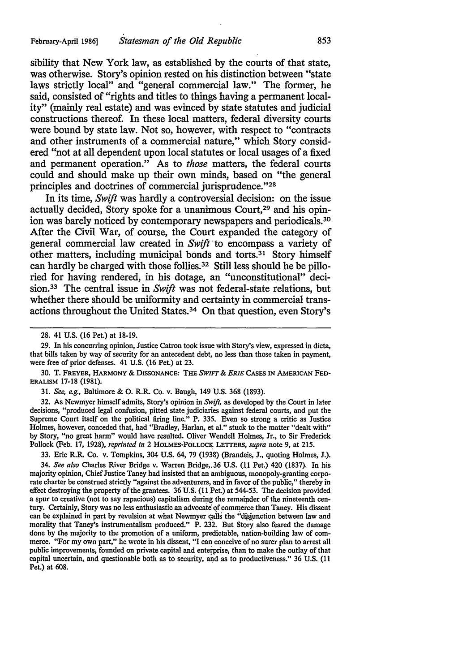sibility that New York law, as established by the courts of that state, was otherwise. Story's opinion rested on his distinction between "state laws strictly local" and "general commercial law." The former, he said, consisted of "rights and titles to things having a permanent locality" (mainly real estate) and was evinced by state statutes and judicial constructions thereof. In these local matters, federal diversity courts were bound by state law. Not so, however, with respect to "contracts and other instruments of a commercial nature," which Story considered "not at all dependent upon local statutes or local usages of a fixed and permanent operation." As to *those* matters, the federal courts could and should make up their own minds, based on "the general principles and doctrines of commercial jurisprudence."28

In its time, *Swift* was hardly a controversial decision: on the issue actually decided, Story spoke for a unanimous Court.<sup>29</sup> and his opinion was barely noticed by contemporary newspapers and periodicals.<sup>30</sup> After the Civil War, of course, the Court expanded the category of general commercial law created in *Swift* ·to encompass a variety of other matters, including municipal bonds and torts.<sup>31</sup> Story himself can hardly be charged with those follies. 32 Still less should he be pilloried for having rendered, in his dotage, an "unconstitutional" decision. 33 The central issue in *Swift* was not federal-state relations, but whether there should be uniformity and certainty in commercial transactions throughout the United States.<sup>34</sup> On that question, even Story's

30. T. FREYER, HARMONY & DISSONANCE: THE *SWIFT* & *ERIE* CASES IN AMERICAN FED-ERALISM 17-18 (1981).

31. *See, e.g.,* Baltimore & O. R.R. Co. v. Baugh, 149 U.S. 368 (1893).

32. As Newmyer himself admits, Story's opinion in *Swift,* as developed by the Court in later decisions, "produced legal confusion, pitted state judiciaries against federal courts, and put the Supreme Court itself on the political firing line." P. 335. Even so strong a critic as Justice Holmes, however, conceded that, had "Bradley, Harlan, et al." stuck to the matter "dealt with" by Story, "no great harm" would have resulted. Oliver Wendell Holmes, Jr., to Sir Frederick Pollock (Feb. 17, 1928), *reprinted in* 2 HOLMES-POLLOCK LETTERS, *supra* note 9, at 215.

33. Erie R.R. Co. v. Tompkins, 304 U.S. 64, 79 (1938) (Brandeis, J., quoting Holmes, J.).

34. *See also* Charles River Bridge v. Warren Bridge,.36 U.S. (U Pet.) 420 (1837). In his majority opinion, Chief Justice Taney had insisted that an ambiguous, monopoly-granting corporate charter be construed strictly "against the adventurers, and in favor of the public," thereby in effect destroying the property of the grantees. 36 U.S. (11 Pet.) at 544-53. The decision provided a spur to creative (not to say rapacious) capitalism during the remainder of the nineteenth century. Certainly, Story was no less enthusiastic an advocate of commerce than Taney. His dissent can be explained in part by revulsion at what Newmyer calls the "disjunction between law and morality that Taney's instrumentalism produced." P. 232. But Story also feared the damage done by the majority to the promotion of a uniform, predictable, nation-building law of commerce. "For my own part," he wrote in his dissent, "I can conceive of no surer plan to arrest all public improvements, founded on private capital and enterprise, than to make the outlay of that capital uncertain, and questionable both as to security, and as to productiveness." 36 U.S. (11 Pet.) at 608.

<sup>28. 41</sup> U.S. (16 Pet.) at 18-19.

<sup>29.</sup> In his concurring opinion, Justice Catron took issue with Story's view, expressed in dicta, that bills taken by way of security for an antecedent debt, no less than those taken in payment, were free of prior defenses. 41 U.S. (16 Pet.) at 23.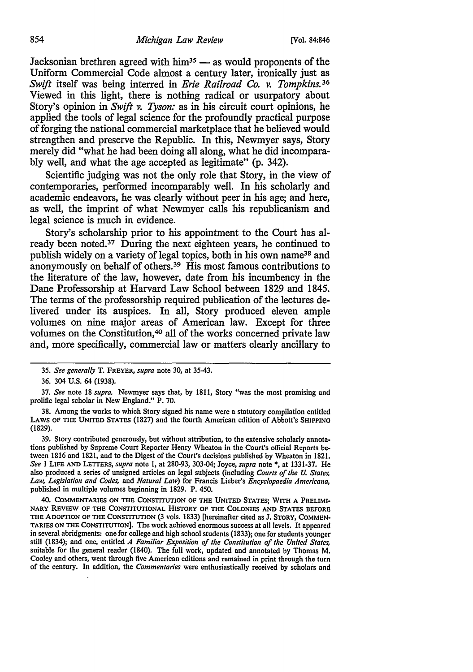Jacksonian brethren agreed with  $him<sup>35</sup>$  - as would proponents of the Uniform Commercial Code almost a century later, ironically just as *Swift* itself was being interred in *Erie Railroad Co. v. Tompkins.* <sup>36</sup> Viewed in this light, there is nothing radical or usurpatory about Story's opinion in *Swift v. Tyson:* as in his circuit court opinions, he applied the tools of legal science for the profoundly practical purpose of forging the national commercial marketplace that he believed would strengthen and preserve the Republic. In this, Newmyer says, Story merely did "what he had been doing all along, what he did incomparably well, and what the age accepted as legitimate" (p. 342).

Scientific judging was not the only role that Story, in the view of contemporaries, performed incomparably well. In his scholarly and academic endeavors, he was clearly without peer in his age; and here, as well, the imprint of what Newmyer calls his republicanism and legal science is much in evidence.

Story's scholarship prior to his appointment to the Court has already been noted.<sup>37</sup> During the next eighteen years, he continued to publish widely on a variety of legal topics, both in his own name<sup>38</sup> and anonymously on behalf of others. 39 His most famous contributions to the literature of the law, however, date from his incumbency in the Dane Professorship at Harvard Law School between 1829 and 1845. The terms of the professorship required publication of the lectures delivered under its auspices. In all, Story produced eleven ample volumes on nine major areas of American law. Except for three volumes on the Constitution, 40 all of the works concerned private law and, more specifically, commercial law or matters clearly ancillary to

38. Among the works to which Story signed his name were a statutory compilation entitled LAWS OF THE UNITED STATES (1827) and the fourth American edition of Abbott's SHIPPING (1829).

39. Story contributed generously, but without attribution, to the extensive scholarly annota· tions published by Supreme Court Reporter Henry Wheaton in the Court's official Reports be· tween 1816 and 1821, and to the Digest of the Court's decisions published by Wheaton in 1821. *See* 1 LIFE AND LETTERS, *supra* note 1, at 280-93, 303-04; Joyce, *supra* note•, at 1331-37. He also produced a series of unsigned articles on legal subjects (including *Courts of the U. States, Law, Legislation and Codes,* and *Natural Law)* for Francis Lieber's *Encyclopaedia Americana,*  published in multiple volumes beginning in 1829. P. 450.

40. CoMMENTARIES ON THE CoNSTITUTION OF THE UNITED STATES; WITH A PRELIMI· NARY REVIEW OF THE CONSTITUTIONAL HISTORY OF THE COLONIES AND STATES DEFORE THE ADOPTION OF THE CONSTITUTION (3 vols. 1833) [hereinafter cited as J. STORY, COMMEN· TARIES ON THE CONSTITUTION]. The work achieved enormous success at all levels. It appeared in several abridgments: one for college and high school students (1833); one for students younger still (1834); and one, entitled *A Familiar Exposition of the Constitution of the United States,*  suitable for the general reader (1840). The full work, updated and annotated by Thomas M. Cooley and others, went through five American editions and remained in print through the turn of the century. In addition, the *Commentaries* were enthusiastically received by scholars and

<sup>35.</sup> *See generally* T. FREYER, *supra* note 30, at 35-43.

<sup>36. 304</sup> U.S. 64 (1938).

<sup>37.</sup> *See* note 18 *supra.* Newmyer says that, by 1811, Story "was the most promising and prolific legal scholar in New England." P. 70.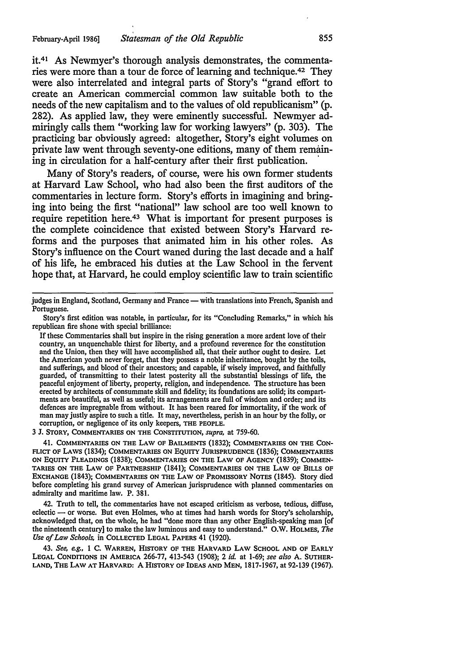it.41 As Newmyer's thorough analysis demonstrates, the commentaries were more than a tour de force of learning and technique. 42 They were also interrelated and integral parts of Story's "grand effort to create an American commercial common law suitable both to the needs of the new capitalism and to the values of old republicanism" (p. 282). As applied law, they were eminently successful. Newmyer admiringly calls them "working law for working lawyers" (p. 303). The practicing bar obviously agreed: altogether, Story's eight volumes on private law went through seventy-one editions, many of them remaining in circulation for a half-century after their first publication.

Many of Story's readers, of course, were his own former students at Harvard Law School, who had also been the first auditors of the commentaries in lecture form. Story's efforts in imagining and bringing into being the first "national" law school are too well known to require repetition here.43 What is important for present purposes is the complete coincidence that existed between Story's Harvard reforms and the purposes that animated him in his other roles. As Story's influence on the Court waned during the last decade and a half of his life, he embraced his duties at the Law School in the fervent hope that, at Harvard, he could employ scientific law to train scientific

If these Commentaries shall but inspire in the rising generation a more ardent love of their country, an unquenchable thirst for liberty, and a profound reverence for the constitution and the Union, then they will have accomplished all, that their author ought to desire. Let the American youth never forget, that they possess a noble inheritance, bought by the toils, and sufferings, and blood of their ancestors; and capable, if wisely improved, and faithfully guarded, of transmitting to their latest posterity all the substantial blessings of life, the peaceful enjoyment of liberty, property, religion, and independence. The structure has been erected by architects of consummate skill and fidelity; its foundations are solid; its compartments are beautiful, as well as useful; its arrangements are full of wisdom and order; and its defences are impregnable from without. It has been reared for immortality, if the work of man may justly aspire to such a title. It may, nevertheless, perish in an hour by the folly, or corruption, or negligence of its only keepers, THE PEOPLE.

3 J. STORY, COMMENTARIES ON THE CONSTITUTION, *supra,* at 759-60.

41. COMMENTARIES ON THE LAW OF BAILMENTS (1832); COMMENTARIES ON THE CON-FLICT OF LAWS (1834); COMMENTARIES ON EQUITY JURISPRUDENCE (1836); COMMENTARIES ON EQUITY PLEADINGS (1838); COMMENTARIES ON THE LAW OF AGENCY (1839); COMMEN-TARIES ON THE LAW OF PARTNERSHIP (1841); COMMENTARIES ON THE LAW OF BILLS OF EXCHANGE (1843); COMMENTARIES ON THE LAW OF PROMISSORY NOTES (1845). Story died before completing his grand survey of American jurisprudence with planned commentaries on admiralty and maritime law. P. 381.

42. Truth to tell, the commentaries have not escaped criticism as verbose, tedious, diffuse, eclectic  $\rightarrow$  or worse. But even Holmes, who at times had harsh words for Story's scholarship, acknowledged that, on the whole, he had "done more than any other English-speaking man [of the nineteenth century] to make the law luminous and easy to understand." O.W. HOLMES, *The Use of Law Schools,* in COLLECTED LEGAL PAPERS 41 (1920).

43. *See, e.g.,* 1 c. WARREN, HISTORY OF THE HARVARD LAW SCHOOL AND OF EARLY LEGAL CONDITIONS lN AMERICA 266-77, 413-543 (1908); 2 *id.* at 1-69; *see also* A. SUTHER-LAND, THE LAW AT HARVARD: A HISTORY OF IDEAS AND MEN, 1817-1967, at 92-139 (1967).

judges in England, Scotland, Germany and France - with translations into French, Spanish and Portuguese.

Story's first edition was notable, in particular, for its "Concluding Remarks,'' in which his republican fire shone with special brilliance: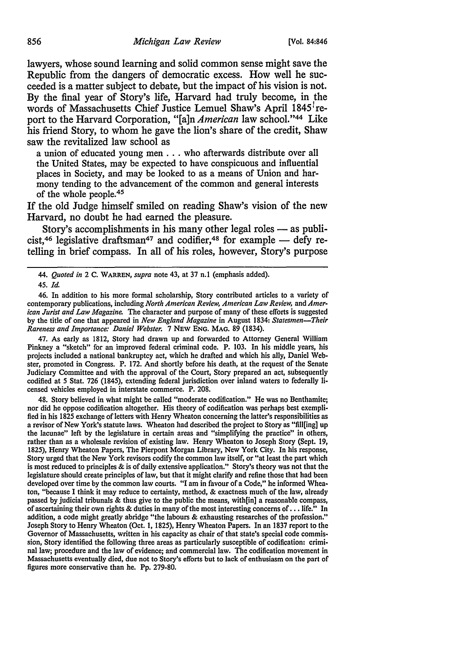lawyers, whose sound learning and solid common sense might save the Republic from the dangers of democratic excess. How well he succeeded is a matter subject to debate, but the impact of his vision is not. By the final year of Story's life, Harvard had truly become, in the words of Massachusetts Chief Justice Lemuel Shaw's April 1845<sup>1</sup>report to the Harvard Corporation, "[a]n *American* law school."44 Like his friend Story, to whom he gave the lion's share of the credit, Shaw saw the revitalized law school as

a union of educated young men ... who afterwards distribute over all the United States, may be expected to have conspicuous and influential places in Society, and may be looked to as a means of Union and harmony tending to the advancement of the common and general interests of the whole people.45

If the old Judge himself smiled on reading Shaw's vision of the new Harvard, no doubt he had earned the pleasure.

Story's accomplishments in his many other legal roles - as publicist, <sup>46</sup> legislative draftsman<sup>47</sup> and codifier, <sup>48</sup> for example — defy retelling in brief compass. In all of his roles, however, Story's purpose

47. As early as 1812, Story had drawn up and forwarded to Attorney General William Pinkney a "sketch" for an improved federal criminal code. P. 103. In his middle years, his projects included a national bankruptcy act, which he drafted and which his ally, Daniel Webster, promoted in Congress. P. 172. And shortly before his death, at the request of the Senate Judiciary Committee and with the approval of the Court, Story prepared an act, subsequently codified at 5 Stat. 726 (1845), extending federal jurisdiction over inland waters to federally licensed vehicles employed in interstate commerce. P. 208.

48. Story believed in what might be called "moderate codification." He was no Benthamite; nor did he oppose codification altogether. His theory of codification was perhaps best exempli· fied in his 1825 exchange of letters with Henry Wheaton concerning the latter's responsibilities as a revisor of New York's statute laws. Wheaton had described the project to Story as "fill[ing] up the lacunae" left by the legislature in certain areas and "simplifying the practice" in others, rather than as a wholesale revision of existing law. Henry Wheaton to Joseph Story (Sept. 19, 1825), Henry Wheaton Papers, The Pierpont Morgan Library, New York City. In his response, Story urged that the New York revisors codify the common law itself, or "at least the part which is most reduced to principles & is of daily extensive application." Story's theory was not that the legislature should create principles of law, but that it might clarify and refine those that had been developed over time by the common law courts. "I am in favour of a Code," he informed Wheaton, "because I think it may reduce to certainty, method, & exactness much of the law, already passed by judicial tribunals & thus give to the public the means, with[in] a reasonable compass, of ascertaining their own rights & duties in many of the most interesting concerns of  $\dots$  life." In addition, a code might greatly abridge "the labours & exhausting researches of the profession." Joseph Story to Henry Wheaton (Oct. 1, 1825), Henry Wheaton Papers. In an 1837 report to the Governor of Massachusetts, written in his capacity as chair of that state's special code commission, Story identified the following three areas as particularly susceptible of codification: criminal law; procedure and the law of evidence; and commercial law. The codification movement in Massachusetts eventually died, due not to Story's efforts but to lack of enthusiasm on the part of figures more conservative than he. Pp. 279-80.

<sup>44.</sup> *Quoted in* 2 C. WARREN, *supra* note 43, at 37 n.l (emphasis added).

<sup>45.</sup> *Id.* 

<sup>46.</sup> In addition to his more formal scholarship, Story contributed articles to a variety of contemporary publications, including *North American Review, American Law Review,* and *American Jurist and Law Magazine.* The character and purpose of many of these efforts is suggested by the title of one that appeared in *New England Magazine* in August 1834: *Statesmen-Their Rareness and Importance: Daniel Webster.* 7 NEW ENG. MAG. 89 (1834).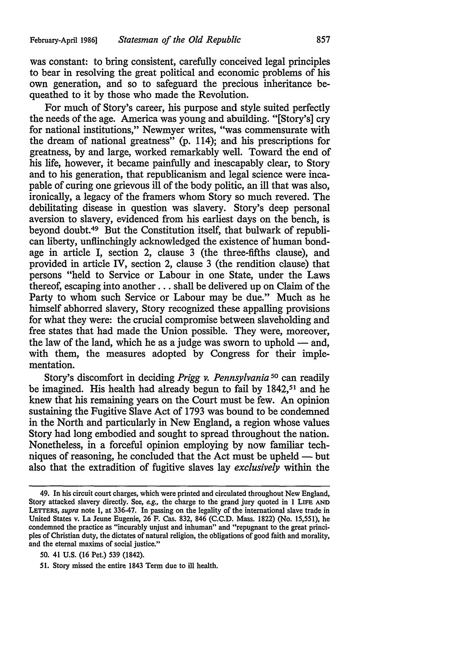was constant: to bring consistent, carefully conceived legal principles to bear in resolving the great political and economic problems of his own generation, and so to safeguard the precious inheritance bequeathed to it by those who made the Revolution.

For much of Story's career, his purpose and style suited perfectly the needs of the age. America was young and abuilding. "[Story's] cry for national institutions," Newmyer writes, "was commensurate with the dream of national greatness" (p. 114); and his prescriptions for greatness, by and large, worked remarkably well. Toward the end of his life, however, it became painfully and inescapably clear, to Story and to his generation, that republicanism and legal science were incapable of curing one grievous ill of the body politic, an ill that was also, ironically, a legacy of the framers whom Story so much revered. The debilitating disease in question was slavery. Story's deep personal aversion to slavery, evidenced from his earliest days on the bench, is beyond doubt.49 But the Constitution itself, that bulwark of republican liberty, unflinchingly acknowledged the existence of human bondage in article I, section 2, clause 3 (the three-fifths clause), and provided in article IV, section 2, clause 3 (the rendition clause) that persons "held to Service or Labour in one State, under the Laws thereof, escaping into another ... shall be delivered up on Claim of the Party to whom such Service or Labour may be due." Much as he himself abhorred slavery, Story recognized these appalling provisions for what they were: the crucial compromise between slaveholding and free states that had made the Union possible. They were, moreover, the law of the land, which he as a judge was sworn to uphold  $-$  and, with them, the measures adopted by Congress for their implementation.

Story's discomfort in deciding *Prigg v. Pennsylvania 50* can readily be imagined. His health had already begun to fail by 1842,<sup>51</sup> and he knew that his remaining years on the Court must be few. An opinion sustaining the Fugitive Slave Act of 1793 was bound to be condemned in the North and particularly in New England, a region whose values Story had long embodied and sought to spread throughout the nation. Nonetheless, in a forceful opinion employing by now familiar techniques of reasoning, he concluded that the Act must be upheld  $-$  but also that the extradition of fugitive slaves lay *exclusively* within the

50. 41 U.S. (16 Pet.) 539 (1842).

<sup>49.</sup> In his circuit court charges, which were printed and circulated throughout New England, Story attacked slavery directly. See, *e.g.,* the charge to the grand jury quoted in 1 LIFE AND LETIERS, *supra* note 1, at 336-47. In passing on the legality of the international slave trade in United States v. La Jeune Eugenie, 26 F. Cas. 832, 846 (C.C.D. Mass. 1822) (No. 15,551), he condemned the practice as "incurably unjust and inhuman" and "repugnant to the great principles of Christian duty, the dictates of natural religion, the obligations of good faith and morality, and the eternal maxims of social justice."

<sup>51.</sup> Story missed the entire 1843 Term due to ill health.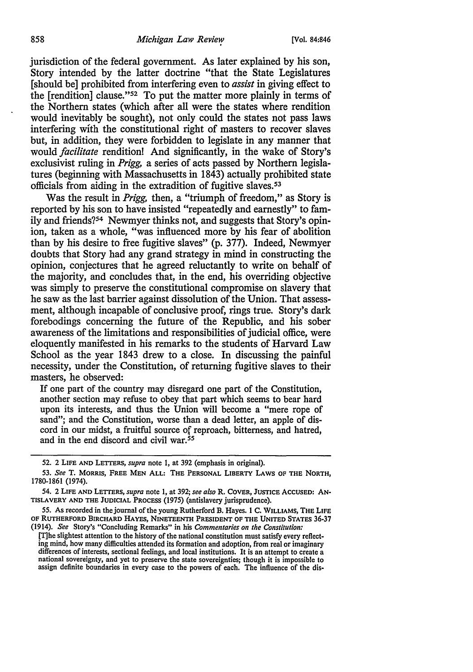jurisdiction of the federal government. As later explained by his son, Story intended by the latter doctrine "that the State Legislatures [should be] prohibited from interfering even to *assist* in giving effect to the [rendition] clause."52 To put the matter more plainly in terms of the Northern states (which after all were the states where rendition would inevitably be sought), not only could the states not pass laws interfering with the constitutional right of masters to recover slaves but, in addition, they were forbidden to legislate in any manner that would *facilitate* rendition! And significantly, in the wake of Story's exclusivist ruling in *Prigg,* a series of acts passed by Northern legislatures (beginning with Massachusetts in 1843) actually prohibited state officials from aiding in the extradition of fugitive slaves. 53

Was the result in *Prigg*, then, a "triumph of freedom," as Story is reported by his son to have insisted "repeatedly and earnestly" to family and friends?54 Newmyer thinks not, and suggests that Story's opinion, taken as a whole, "was influenced more by his fear of abolition than by his desire to free fugitive slaves" (p. 377). Indeed, Newmyer doubts that Story had any grand strategy in mind in constructing the opinion, conjectures that he agreed reluctantly to write on behalf of the majority, and concludes that, in the end, his overriding objective was simply to preserve the constitutional compromise on slavery that he saw as the last barrier against dissolution of the Union. That assessment, although incapable of conclusive proof, rings true. Story's dark forebodings concerning the future of the Republic, and his sober awareness of the limitations and responsibilities of judicial office, were eloquently manifested in his remarks to the students of Harvard Law School as the year 1843 drew to a close. In discussing the painful necessity, under the Constitution, of returning fugitive slaves to their masters, he observed:

If one part of the country may disregard one part of the Constitution, another section may refuse to obey that part which seems to bear hard upon its interests, and thus the Union will become a "mere rope of sand"; and the Constitution, worse than a dead letter, an apple of discord in our midst, a fruitful source of reproach, bitterness, and hatred, and in the end discord and civil war.<sup>55</sup>

<sup>52. 2</sup> LIFE AND LETIERS, *supra* note 1, at 392 (emphasis in original).

<sup>53.</sup> *See* T. MORRIS, FREE MEN ALL: THE PERSONAL LIBERTY LAWS OF THE NORTH, 1780-1861 (1974).

<sup>54. 2</sup> LIFE AND LETIERS, *supra* note l, at 392; *see also* R. COVER, JUSTICE ACCUSED: AN-TISLAVERY AND THE JUDICIAL PROCESS (1975) (antislavery jurisprudence).

*<sup>55.</sup>* As recorded in the journal of the young Rutherford B. Hayes. 1 C. WILLIAMS, THE LIFE OF RUTHERFORD BIRCHARD HAYES, NINETEENTH PRESIDENT OF THE UNITED STATES 36-37 (1914). *See* Story's "Concluding Remarks" in his *Commentaries on the Constitution:* 

<sup>[</sup>T]he slightest attention to the history of the national constitution must satisfy every reflecting mind, how many difficulties attended its formation and adoption, from real or imaginary differences of interests, sectional feelings, and local institutions. It is an attempt to create a<br>national sovereignty, and yet to preserve the state sovereignties; though it is impossible to assign definite boundaries in every case to the powers of each. The influence of the dis-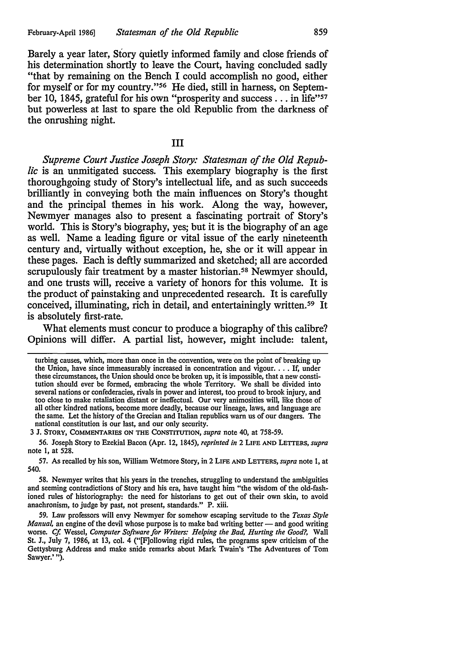Barely a year later, Story quietly informed family and close friends of his determination shortly to leave the Court, having concluded sadly "that by remaining on the Bench I could accomplish no good, either for myself or for my country."56 He died, still in harness, on September 10, 1845, grateful for his own "prosperity and success . . . in life"<sup>57</sup> but powerless at last to spare the old Republic from the darkness of the onrushing night.

III

*Supreme Court Justice Joseph Story: Statesman of the Old Republic* is an unmitigated success. This exemplary biography is the first thoroughgoing study of Story's intellectual life, and as such succeeds brilliantly in conveying both the main influences on Story's thought and the principal themes in his work. Along the way, however, Newmyer manages also to present a fascinating portrait of Story's world. This is Story's biography, yes; but it is the biography of an age as well. Name a leading figure or vital issue of the early nineteenth century and, virtually without exception, he, she or it will appear in these pages. Each is deftly summarized and sketched; all are accorded scrupulously fair treatment by a master historian.<sup>58</sup> Newmyer should, and one trusts will, receive a variety of honors for this volume. It is the product of painstaking and unprecedented research. It is carefully conceived, illuminating, rich in detail, and entertainingly written. 59 It is absolutely first-rate.

What elements must concur to produce a biography of this calibre? Opinions will differ. A partial list, however, might include: talent,

3 J. STORY, COMMENTARIES ON THE CONSfITUTION, *supra* note 40, at 758-59.

57. As recalled by his son, William Wetmore Story, in 2 LIFE AND LETTERS, *supra* note 1, at 540.

58. Newmyer writes that his years in the trenches, struggling to understand the ambiguities and seeming contradictions of Story and his era, have taught him "the wisdom of the old-fashioned rules of historiography: the need for historians to get out of their own skin, to avoid anachronism, to judge by past, not present, standards." P. xiii.

59. Law professors will envy Newmyer for somehow escaping servitude to the *Texas Style Manual*, an engine of the devil whose purpose is to make bad writing better — and good writing worse. *Cf* Wessel, *Computer Software for Writers: Helping the Bad, Hurting the Good?,* Wall St. J., July 7, 1986, at 13, col. 4 ("[F]ollowing rigid rules, the programs spew criticism of the Gettysburg Address and make snide remarks about Mark Twain's 'The Adventures of Tom Sawyer.'").

turbing causes, which, more than once in the convention, were on the point of breaking up the Union, have since immeasurably increased in concentration and vigour .... If, under these circumstances, the Union should once be broken up, it is impossible, that a new constitution should ever be formed, embracing the whole Territory. We shall be divided into several nations or confederacies, rivals in power and interest, too proud to brook injury, and too close to make retaliation distant or ineffectual. Our very animosities will, like those of all other kindred nations, become more deadly, because our lineage, laws, and language are the same. Let the history of the Grecian and Italian republics warn us of our dangers. The national constitution is our last, and our only security.

<sup>56.</sup> Joseph Story to Ezekial Bacon (Apr. 12, 1845), *reprinted in* 2 LIFE AND LETTERS, *supra*  note 1, at 528.